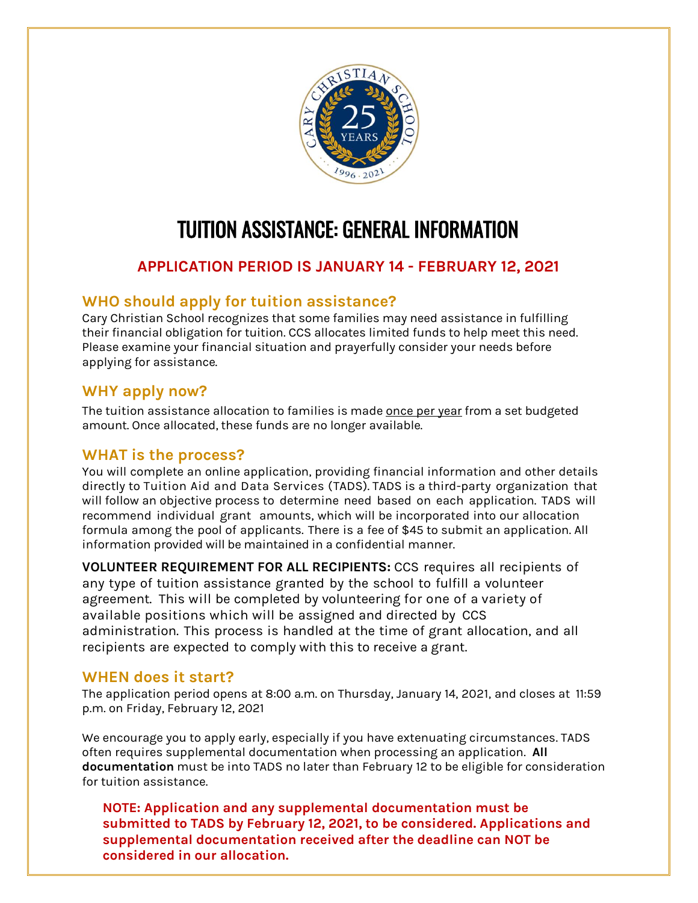

# TUITION ASSISTANCE: GENERAL INFORMATION

# **APPLICATION PERIOD IS JANUARY 14 - FEBRUARY 12, 2021**

### **WHO should apply for tuition assistance?**

Cary Christian School recognizes that some families may need assistance in fulfilling their financial obligation for tuition. CCS allocates limited funds to help meet this need. Please examine your financial situation and prayerfully consider your needs before applying for assistance.

### **WHY apply now?**

The tuition assistance allocation to families is made once per year from a set budgeted amount. Once allocated, these funds are no longer available.

#### **WHAT is the process?**

You will complete an online application, providing financial information and other details directly to Tuition Aid and Data Services (TADS). TADS is a third-party organization that will follow an objective process to determine need based on each application. TADS will recommend individual grant amounts, which will be incorporated into our allocation formula among the pool of applicants. There is a fee of \$45 to submit an application. All information provided will be maintained in a confidential manner.

**VOLUNTEER REQUIREMENT FOR ALL RECIPIENTS:** CCS requires all recipients of any type of tuition assistance granted by the school to fulfill a volunteer agreement. This will be completed by volunteering for one of a variety of available positions which will be assigned and directed by CCS administration. This process is handled at the time of grant allocation, and all recipients are expected to comply with this to receive a grant.

#### **WHEN does it start?**

The application period opens at 8:00 a.m. on Thursday, January 14, 2021, and closes at 11:59 p.m. on Friday, February 12, 2021

We encourage you to apply early, especially if you have extenuating circumstances. TADS often requires supplemental documentation when processing an application. **All documentation** must be into TADS no later than February 12 to be eligible for consideration for tuition assistance.

**NOTE: Application and any supplemental documentation must be submitted to TADS by February 12, 2021, to be considered. Applications and supplemental documentation received after the deadline can NOT be considered in our allocation.**